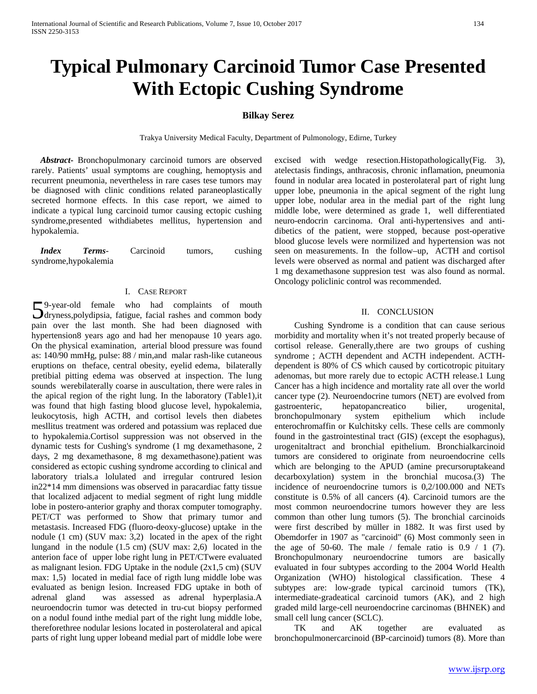# **Typical Pulmonary Carcinoid Tumor Case Presented With Ectopic Cushing Syndrome**

## **Bilkay Serez**

Trakya University Medical Faculty, Department of Pulmonology, Edirne, Turkey

 *Abstract***-** Bronchopulmonary carcinoid tumors are observed rarely. Patients' usual symptoms are coughing, hemoptysis and recurrent pneumonia, nevertheless in rare cases tese tumors may be diagnosed with clinic conditions related paraneoplastically secreted hormone effects. In this case report, we aimed to indicate a typical lung carcinoid tumor causing ectopic cushing syndrome,presented withdiabetes mellitus, hypertension and hypokalemia.

 *Index Terms*- Carcinoid tumors, cushing syndrome,hypokalemia

## I. CASE REPORT

9-year-old female who had complaints of mouth 59-year-old female who had complaints of mouth<br>dryness,polydipsia, fatigue, facial rashes and common body pain over the last month. She had been diagnosed with hypertension8 years ago and had her menopause 10 years ago. On the physical examination, arterial blood pressure was found as: 140/90 mmHg, pulse: 88 / min,and malar rash-like cutaneous eruptions on theface, central obesity, eyelid edema, bilaterally pretibial pitting edema was observed at inspection. The lung sounds werebilaterally coarse in auscultation, there were rales in the apical region of the right lung. In the laboratory (Table1),it was found that high fasting blood glucose level, hypokalemia, leukocytosis, high ACTH, and cortisol levels then diabetes mesllitus treatment was ordered and potassium was replaced due to hypokalemia.Cortisol suppression was not observed in the dynamic tests for Cushing's syndrome (1 mg dexamethasone, 2 days, 2 mg dexamethasone, 8 mg dexamethasone).patient was considered as ectopic cushing syndrome according to clinical and laboratory trials.a lolulated and irregular contrured lesion in22\*14 mm dimensions was observed in paracardiac fatty tissue that localized adjacent to medial segment of right lung middle lobe in postero-anterior graphy and thorax computer tomography. PET/CT was performed to Show that primary tumor and metastasis. Increased FDG (fluoro-deoxy-glucose) uptake in the nodule (1 cm) (SUV max: 3,2) located in the apex of the right lungand in the nodule (1.5 cm) (SUV max: 2,6) located in the anterion face of upper lobe right lung in PET/CTwere evaluated as malignant lesion. FDG Uptake in the nodule (2x1,5 cm) (SUV max: 1,5) located in medial face of rigth lung middle lobe was evaluated as benign lesion. Increased FDG uptake in both of adrenal gland was assessed as adrenal hyperplasia.A neuroendocrin tumor was detected in tru-cut biopsy performed on a nodul found inthe medial part of the right lung middle lobe, thereforethree nodular lesions located in posterolateral and apical parts of right lung upper lobeand medial part of middle lobe were

excised with wedge resection.Histopathologically(Fig. 3), atelectasis findings, anthracosis, chronic inflamation, pneumonia found in nodular area located in posterolateral part of right lung upper lobe, pneumonia in the apical segment of the right lung upper lobe, nodular area in the medial part of the right lung middle lobe, were determined as grade 1, well differentiated neuro-endocrin carcinoma. Oral anti-hypertensives and antidibetics of the patient, were stopped, because post-operative blood glucose levels were normilized and hypertension was not seen on measurements. In the follow–up, ACTH and cortisol levels were observed as normal and patient was discharged after 1 mg dexamethasone suppresion test was also found as normal. Oncology policlinic control was recommended.

## II. CONCLUSION

 Cushing Syndrome is a condition that can cause serious morbidity and mortality when it's not treated properly because of cortisol release. Generally,there are two groups of cushing syndrome ; ACTH dependent and ACTH independent. ACTHdependent is 80% of CS which caused by corticotropic pituitary adenomas, but more rarely due to ectopic ACTH release.1 Lung Cancer has a high incidence and mortality rate all over the world cancer type (2). Neuroendocrine tumors (NET) are evolved from gastroenteric, hepatopancreatico bilier, urogenital, bronchopulmonary system epithelium which include enterochromaffin or Kulchitsky cells. These cells are commonly found in the gastrointestinal tract (GIS) (except the esophagus), urogenitaltract and bronchial epithelium. Bronchialkarcinoid tumors are considered to originate from neuroendocrine cells which are belonging to the APUD (amine precursoruptakeand decarboxylation) system in the bronchial mucosa.(3) The incidence of neuroendocrine tumors is 0,2/100.000 and NETs constitute is 0.5% of all cancers (4). Carcinoid tumors are the most common neuroendocrine tumors however they are less common than other lung tumors (5). The bronchial carcinoids were first described by müller in 1882. It was first used by Obemdorfer in 1907 as "carcinoid" (6) Most commonly seen in the age of 50-60. The male / female ratio is  $0.9 / 1 (7)$ . Bronchopulmonary neuroendocrine tumors are basically evaluated in four subtypes according to the 2004 World Health Organization (WHO) histological classification. These 4 subtypes are: low-grade typical carcinoid tumors (TK), intermediate-gradeatical carcinoid tumors (AK), and 2 high graded mild large-cell neuroendocrine carcinomas (BHNEK) and small cell lung cancer (SCLC).

 TK and AK together are evaluated as bronchopulmonercarcinoid (BP-carcinoid) tumors (8). More than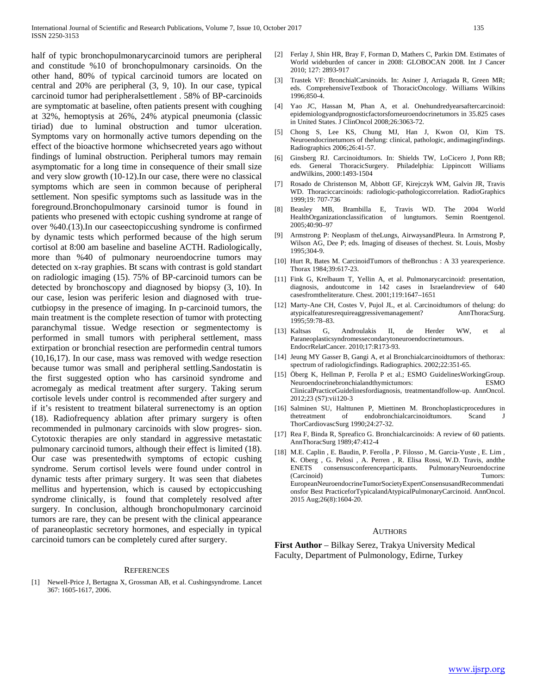half of typic bronchopulmonarycarcinoid tumors are peripheral and constitude %10 of bronchopulmonary carsinoids. On the other hand, 80% of typical carcinoid tumors are located on central and 20% are peripheral (3, 9, 10). In our case, typical carcinoid tumor had peripheralsettlement . 58% of BP-carcinoids are symptomatic at baseline, often patients present with coughing at 32%, hemoptysis at 26%, 24% atypical pneumonia (classic tiriad) due to luminal obstruction and tumor ulceration. Symptoms vary on hormonally active tumors depending on the effect of the bioactive hormone whichsecreted years ago without findings of luminal obstruction. Peripheral tumors may remain asymptomatic for a long time in consequence of their small size and very slow growth (10-12).In our case, there were no classical symptoms which are seen in common because of peripheral settlement. Non spesific symptoms such as lassitude was in the foreground.Bronchopulmonary carsinoid tumor is found in patients who presened with ectopic cushing syndrome at range of over %40.(13).In our caseectopiccushing syndrome is confirmed by dynamic tests which performed because of the high serum cortisol at 8:00 am baseline and baseline ACTH. Radiologically, more than %40 of pulmonary neuroendocrine tumors may detected on x-ray graphies. Bt scans with contrast is gold standart on radiologic imaging (15). 75% of BP-carcinoid tumors can be detected by bronchoscopy and diagnosed by biopsy (3, 10). In our case, lesion was periferic lesion and diagnosed with truecutbiopsy in the presence of imaging. In p-carcinoid tumors, the main treatment is the complete resection of tumor with protecting paranchymal tissue. Wedge resection or segmentectomy is performed in small tumors with peripheral settlement, mass extirpation or bronchial resection are performedin central tumors (10,16,17). In our case, mass was removed with wedge resection because tumor was small and peripheral settling.Sandostatin is the first suggested option who has carsinoid syndrome and acromegaly as medical treatment after surgery. Taking serum cortisole levels under control is recommended after surgery and if it's resistent to treatment bilateral surrenectomy is an option (18). Radiofrequency ablation after primary surgery is often recommended in pulmonary carcinoids with slow progres- sion. Cytotoxic therapies are only standard in aggressive metastatic pulmonary carcinoid tumors, although their effect is limited (18). Our case was presentedwith symptoms of ectopic cushing syndrome. Serum cortisol levels were found under control in dynamic tests after primary surgery. It was seen that diabetes mellitus and hypertension, which is caused by ectopiccushing syndrome clinically, is found that completely resolved after surgery. In conclusion, although bronchopulmonary carcinoid tumors are rare, they can be present with the clinical appearance of paraneoplastic secretory hormones, and especially in typical carcinoid tumors can be completely cured after surgery.

#### **REFERENCES**

[1] Newell-Price J, Bertagna X, Grossman AB, et al. Cushingsyndrome. Lancet 367: 1605-1617, 2006.

- [2] Ferlay J, Shin HR, Bray F, Forman D, Mathers C, Parkin DM. Estimates of World wideburden of cancer in 2008: GLOBOCAN 2008. Int J Cancer 2010; 127: 2893-917
- [3] Trastek VF: BronchialCarsinoids. In: Asiner J, Arriagada R, Green MR; eds. ComprehensiveTextbook of ThoracicOncology. Williams Wilkins 1996;850-4.
- [4] Yao JC, Hassan M, Phan A, et al. Onehundredyearsaftercarcinoid: epidemiologyandprognosticfactorsforneuroendocrinetumors in 35.825 cases in United States. J ClinOncol 2008;26:3063-72.
- [5] Chong S, Lee KS, Chung MJ, Han J, Kwon OJ, Kim TS. Neuroendocrinetumors of thelung: clinical, pathologic, andimagingfindings. Radiographics 2006;26:41-57.
- [6] Ginsberg RJ. Carcinoidtumors. In: Shields TW, LoCicero J, Ponn RB; eds. General ThoracicSurgery. Philadelphia: Lippincott Williams andWilkins, 2000:1493-1504
- [7] Rosado de Christenson M, Abbott GF, Kirejczyk WM, Galvin JR, Travis WD. Thoraciccarcinoids: radiologic-pathologiccorrelation. RadioGraphics 1999;19: 707-736
- [8] Beasley MB, Brambilla E, Travis WD. The 2004 World HealthOrganizationclassification of lungtumors. Semin Roentgenol. 2005;40:90–97
- [9] Armstrong P: Neoplasm of theLungs, AirwaysandPleura. In Armstrong P, Wilson AG, Dee P; eds. Imaging of diseases of thechest. St. Louis, Mosby 1995;304-9.
- [10] Hurt R, Bates M. CarcinoidTumors of theBronchus : A 33 yearexperience. Thorax 1984;39:617-23.
- [11] Fink G, Krelbaum T, Yellin A, et al. Pulmonarycarcinoid: presentation, diagnosis, andoutcome in 142 cases in Israelandreview of 640 casesfromtheliterature. Chest. 2001;119:1647–1651
- [12] Marty-Ane CH, Costes V, Pujol JL, et al. Carcinoidtumors of thelung: do atypicalfeaturesrequireaggressivemanagement? AnnThoracSurg. 1995;59:78–83.
- [13] Kaltsas G, Androulakis II, de Herder WW, et al Paraneoplasticsyndromessecondarytoneuroendocrinetumours. EndocrRelatCancer. 2010;17:R173-93.
- [14] Jeung MY Gasser B, Gangi A, et al Bronchialcarcinoidtumors of thethorax: spectrum of radiologicfindings. Radiographics. 2002;22:351-65.
- [15] Öberg K, Hellman P, Ferolla P et al.; ESMO GuidelinesWorkingGroup. Neuroendocrinebronchialandthymictumors: ESMO ClinicalPracticeGuidelinesfordiagnosis, treatmentandfollow-up. AnnOncol. 2012;23 (S7):vii120-3
- [16] Salminen SU, Halttunen P, Miettinen M. Bronchoplasticprocedures in thetreatment of endobronchialcarcinoidtumors. Scand ThorCardiovascSurg 1990;24:27-32.
- [17] Rea F, Binda R, Spreafico G. Bronchialcarcinoids: A review of 60 patients. AnnThoracSurg 1989;47:412-4
- [18] M.E. Caplin , E. Baudin, P. Ferolla , P. Filosso , M. Garcia-Yuste , E. Lim , K. Oberg , G. Pelosi , A. Perren , R. Elisa Rossi, W.D. Travis, andthe ENETS consensusconferenceparticipants. PulmonaryNeuroendocrine (Carcinoid) Tumors: EuropeanNeuroendocrineTumorSocietyExpertConsensusandRecommendati onsfor Best PracticeforTypicalandAtypicalPulmonaryCarcinoid. AnnOncol. 2015 Aug;26(8):1604-20.

#### AUTHORS

**First Author** – Bilkay Serez, Trakya University Medical Faculty, Department of Pulmonology, Edirne, Turkey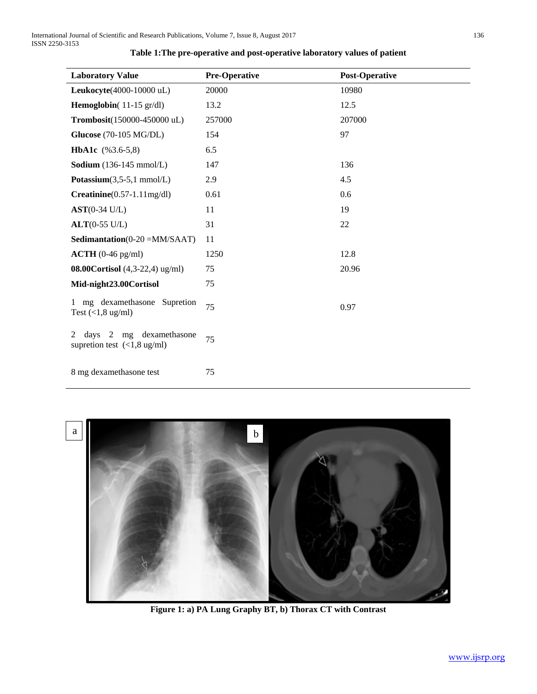| <b>Laboratory Value</b>                                                                                     | <b>Pre-Operative</b> | <b>Post-Operative</b> |
|-------------------------------------------------------------------------------------------------------------|----------------------|-----------------------|
| Leukocyte(4000-10000 uL)                                                                                    | 20000                | 10980                 |
| <b>Hemoglobin</b> $(11-15 \text{ gr/dl})$                                                                   | 13.2                 | 12.5                  |
| Trombosit(150000-450000 uL)                                                                                 | 257000               | 207000                |
| <b>Glucose</b> (70-105 MG/DL)                                                                               | 154                  | 97                    |
| HbA1c (%3.6-5,8)                                                                                            | 6.5                  |                       |
| Sodium $(136-145 \text{ mmol/L})$                                                                           | 147                  | 136                   |
| Potassium $(3,5-5,1 \text{ mmol/L})$                                                                        | 2.9                  | 4.5                   |
| $Creatinine(0.57-1.11mg/dl)$                                                                                | 0.61                 | 0.6                   |
| $AST(0-34 U/L)$                                                                                             | 11                   | 19                    |
| $ALT(0-55 \text{ U/L})$                                                                                     | 31                   | 22                    |
| Sedimantation( $0-20 = MM/SAAT$ )                                                                           | 11                   |                       |
| $\textbf{ACTH}$ (0-46 pg/ml)                                                                                | 1250                 | 12.8                  |
| 08.00 Cortisol $(4,3-22,4)$ ug/ml)                                                                          | 75                   | 20.96                 |
| Mid-night23.00Cortisol                                                                                      | 75                   |                       |
| mg dexamethasone Supretion<br>Test $(<1, 8$ ug/ml)                                                          | 75                   | 0.97                  |
| mg dexamethasone<br>davs<br>2<br>$\mathfrak{D}$<br>supretion test $\left(\langle 1, 8 \text{ ug/ml}\right)$ | 75                   |                       |
| 8 mg dexamethasone test                                                                                     | 75                   |                       |

# **Table 1:The pre-operative and post-operative laboratory values of patient**



**Figure 1: a) PA Lung Graphy BT, b) Thorax CT with Contrast**